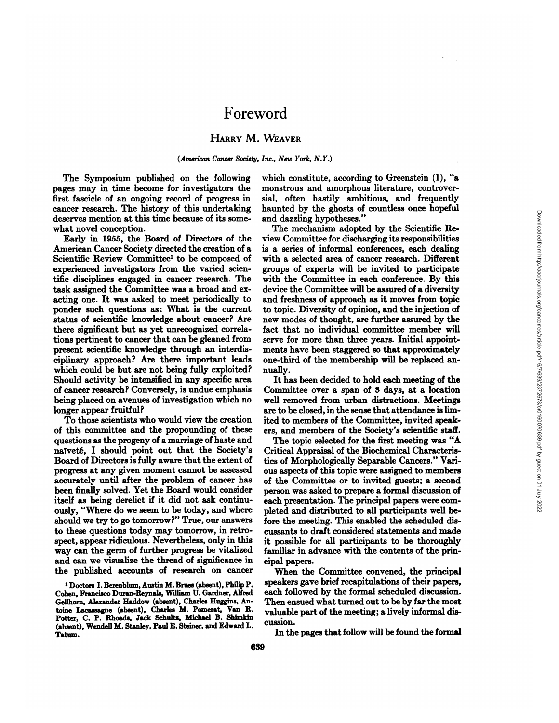## HARRY M. WEAVER

## *(American Cancer Society, Inc., New York, N.Y.)*

**The Symposium published on the following** pages may in time become for investigators the first fascicle of an ongoing record of progress in cancer research. The history of this undertaking deserves mention at this time because of its some **what novel conception.**

**Early in 1955, the Board ofDirectors of the** American Cancer Society directed the creation of a Scientific Review Committee1 to be composed of experienced investigators from the varied scien tific disciplines engaged in cancer research. The task assigned the Committee was a broad and ex **acting one. It was asked to meet periodically to** ponder such questions as: What is the current status of scientific knowledge about cancer? Are there significant but as yet unrecognized correla tions pertinent to cancer that can be gleaned from **present scientific knowledge through an interdis** ciplinary approach? Are there important leads which could be but are not being fully exploited? **Should activity be intensified in any specific area** of cancer research? Conversely, is undue emphasis being placed on avenues of investigation which no **longer appear fruitful?**

**To those scientists who would view the creation of this committee and the propounding of these** questions as the progeny of a marriage of haste and naYveté,I should point out that the Society's Board of Directors is fully aware that the extent of progress at any given moment cannot be assessed accurately until after the problem of cancer has been finally solved. Yet the Board would consider itself as being derelict if it did not ask continu ously, "Where do we seem to be today, and where should we try to go tomorrow?" True, our answers **to these questions today may tomorrow, in retro spect, appear ridiculous. Nevertheless, only in this way can the germ of further progress be vitalized and can we visualize the thread of significance in the published accounts of research on cancer**

**I Doctors I. Berenbium, Austin M.Brties (absent), Philip P.** Cohen, Francisco Duran-Reynals, William U. Gardner, Alfred Gellhorn, Alexander Haddow (absent), Charles Huggins, An toine Lacassagne (absent), Charles M. Pomerat, Van R. Potter, C. P. Rhoads, Jack Schultz, Michael B. Shimkin (absent), Wendell M. Stanley, Paul E. Steiner, and Edward L. Tatum.

which constitute, according to Greenstein (1), "a monstrous and amorphous literature, controver sial, often hastily ambitious, and frequently **haunted by the ghosts of countless once hopeful and dazzling hypotheses.―**

**The mechanism adopted by the Scientific Re** view Committee for discharging its responsibilities is a series of informal conferences, each dealing with a selected area of cancer research. Different groups of experts will be invited to participate **with the Committee in each conference. By this** device the Committee will be assured of a diversity **and freshness of approach as it moves from topic to topic. Diversity of opinion, and the injection of new modes of thought, are further assured by the** fact that no individual committee member will serve for more than three years. Initial appoint ments have been staggered so that approximately one-third of the membership will be replaced an **nually.**

**It has been decided to hold each meeting of the** Committee over a span of 3 days, at a location well removed from urban distractions. Meetings are to be closed, in the sense that attendance is lim**ited to members of the Committee, invited speak** ers, and members of the Society's scientific staff.

**The topic selected for the first meeting was "A** Critical Appraisal of the Biochemical Characteris **tics of Morphologically Separable Cancers.―Van ous aspects of this topic were assigned to members of the Committee or to invited guests; a second** person was asked to prepare a formal discussion of each presentation. The principal papers were com **pleted and distributed to all participants well be fore the meeting. This enabled the scheduled dis** cussants to draft considered statements and made **it possible for all participants to be thoroughly familiar in advance with the contents of the prin cipal papers.**

When the Committee convened, the principal speakers gave brief recapitulations of their papers, each followed by the formal scheduled discussion. **Then ensued what turned out to be by far the most valuable part of the meeting; a lively informal dis** cussion.

**In the pages that follow will be found the formal**